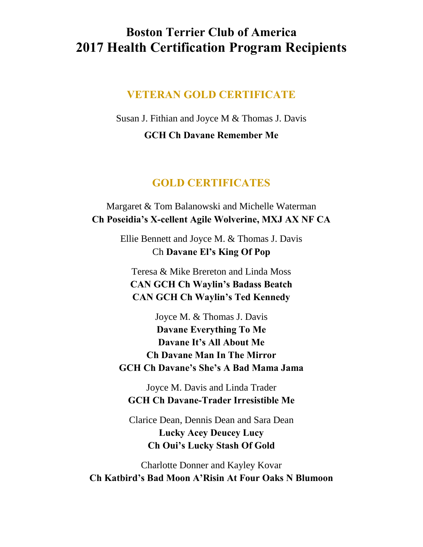## **Boston Terrier Club of America 2017 Health Certification Program Recipients**

## **VETERAN GOLD CERTIFICATE**

Susan J. Fithian and Joyce M & Thomas J. Davis **GCH Ch Davane Remember Me**

## **GOLD CERTIFICATES**

## Margaret & Tom Balanowski and Michelle Waterman **Ch Poseidia's X-cellent Agile Wolverine, MXJ AX NF CA**

Ellie Bennett and Joyce M. & Thomas J. Davis Ch **Davane El's King Of Pop**

Teresa & Mike Brereton and Linda Moss **CAN GCH Ch Waylin's Badass Beatch CAN GCH Ch Waylin's Ted Kennedy**

Joyce M. & Thomas J. Davis **Davane Everything To Me Davane It's All About Me Ch Davane Man In The Mirror GCH Ch Davane's She's A Bad Mama Jama**

Joyce M. Davis and Linda Trader **GCH Ch Davane-Trader Irresistible Me**

Clarice Dean, Dennis Dean and Sara Dean **Lucky Acey Deucey Lucy Ch Oui's Lucky Stash Of Gold**

Charlotte Donner and Kayley Kovar **Ch Katbird's Bad Moon A'Risin At Four Oaks N Blumoon**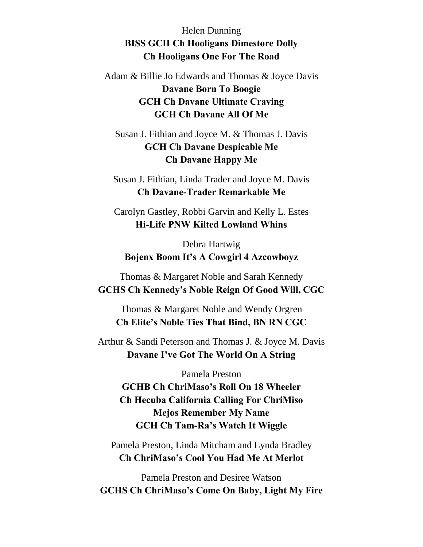Helen Dunning **BISS GCH Ch Hooligans Dimestore Dolly Ch Hooligans One For The Road**

Adam & Billie Jo Edwards and Thomas & Joyce Davis **Davane Born To Boogie GCH Ch Davane Ultimate Craving GCH Ch Davane All Of Me**

Susan J. Fithian and Joyce M. & Thomas J. Davis **GCH Ch Davane Despicable Me Ch Davane Happy Me**

Susan J. Fithian, Linda Trader and Joyce M. Davis **Ch Davane-Trader Remarkable Me**

Carolyn Gastley, Robbi Garvin and Kelly L. Estes **Hi-Life PNW Kilted Lowland Whins**

Debra Hartwig **Bojenx Boom It's A Cowgirl 4 Azcowboyz**

Thomas & Margaret Noble and Sarah Kennedy **GCHS Ch Kennedy's Noble Reign Of Good Will, CGC**

Thomas & Margaret Noble and Wendy Orgren **Ch Elite's Noble Ties That Bind, BN RN CGC**

Arthur & Sandi Peterson and Thomas J. & Joyce M. Davis **Davane I've Got The World On A String**

Pamela Preston **GCHB Ch ChriMaso's Roll On 18 Wheeler Ch Hecuba California Calling For ChriMiso Mejos Remember My Name GCH Ch Tam-Ra's Watch It Wiggle**

Pamela Preston, Linda Mitcham and Lynda Bradley **Ch ChriMaso's Cool You Had Me At Merlot**

Pamela Preston and Desiree Watson **GCHS Ch ChriMaso's Come On Baby, Light My Fire**